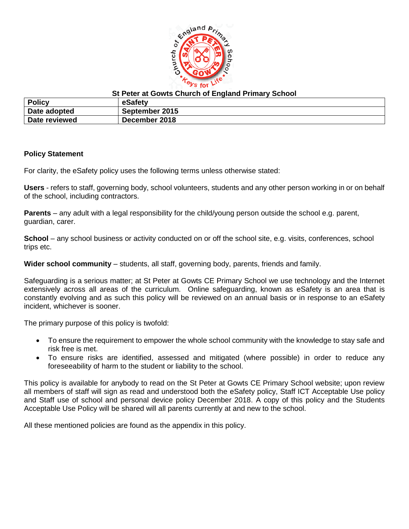

## **St Peter at Gowts Church of England Primary School**

| <b>Policy</b> | eSafety        |
|---------------|----------------|
| Date adopted  | September 2015 |
| Date reviewed | December 2018  |

### **Policy Statement**

For clarity, the eSafety policy uses the following terms unless otherwise stated:

**Users** - refers to staff, governing body, school volunteers, students and any other person working in or on behalf of the school, including contractors.

**Parents** – any adult with a legal responsibility for the child/young person outside the school e.g. parent, guardian, carer.

**School** – any school business or activity conducted on or off the school site, e.g. visits, conferences, school trips etc.

**Wider school community** – students, all staff, governing body, parents, friends and family.

Safeguarding is a serious matter; at St Peter at Gowts CE Primary School we use technology and the Internet extensively across all areas of the curriculum. Online safeguarding, known as eSafety is an area that is constantly evolving and as such this policy will be reviewed on an annual basis or in response to an eSafety incident, whichever is sooner.

The primary purpose of this policy is twofold:

- To ensure the requirement to empower the whole school community with the knowledge to stay safe and risk free is met.
- To ensure risks are identified, assessed and mitigated (where possible) in order to reduce any foreseeability of harm to the student or liability to the school.

This policy is available for anybody to read on the St Peter at Gowts CE Primary School website; upon review all members of staff will sign as read and understood both the eSafety policy, Staff ICT Acceptable Use policy and Staff use of school and personal device policy December 2018. A copy of this policy and the Students Acceptable Use Policy will be shared will all parents currently at and new to the school.

All these mentioned policies are found as the appendix in this policy.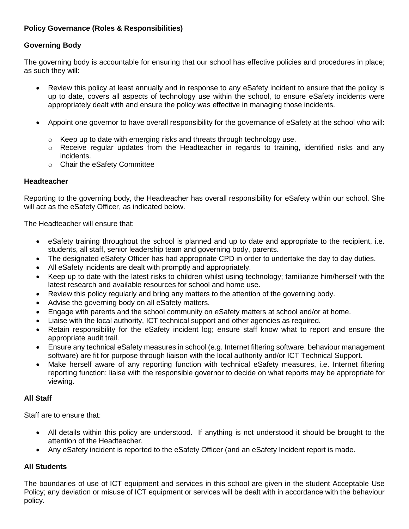## **Policy Governance (Roles & Responsibilities)**

# **Governing Body**

The governing body is accountable for ensuring that our school has effective policies and procedures in place; as such they will:

- Review this policy at least annually and in response to any eSafety incident to ensure that the policy is up to date, covers all aspects of technology use within the school, to ensure eSafety incidents were appropriately dealt with and ensure the policy was effective in managing those incidents.
- Appoint one governor to have overall responsibility for the governance of eSafety at the school who will:
	- o Keep up to date with emerging risks and threats through technology use.
	- $\circ$  Receive regular updates from the Headteacher in regards to training, identified risks and any incidents.
	- o Chair the eSafety Committee

## **Headteacher**

Reporting to the governing body, the Headteacher has overall responsibility for eSafety within our school. She will act as the eSafety Officer, as indicated below.

The Headteacher will ensure that:

- eSafety training throughout the school is planned and up to date and appropriate to the recipient, i.e. students, all staff, senior leadership team and governing body, parents.
- The designated eSafety Officer has had appropriate CPD in order to undertake the day to day duties.
- All eSafety incidents are dealt with promptly and appropriately.
- Keep up to date with the latest risks to children whilst using technology; familiarize him/herself with the latest research and available resources for school and home use.
- Review this policy regularly and bring any matters to the attention of the governing body.
- Advise the governing body on all eSafety matters.
- Engage with parents and the school community on eSafety matters at school and/or at home.
- Liaise with the local authority, ICT technical support and other agencies as required.
- Retain responsibility for the eSafety incident log; ensure staff know what to report and ensure the appropriate audit trail.
- Ensure any technical eSafety measures in school (e.g. Internet filtering software, behaviour management software) are fit for purpose through liaison with the local authority and/or ICT Technical Support.
- Make herself aware of any reporting function with technical eSafety measures, i.e. Internet filtering reporting function; liaise with the responsible governor to decide on what reports may be appropriate for viewing.

## **All Staff**

Staff are to ensure that:

- All details within this policy are understood. If anything is not understood it should be brought to the attention of the Headteacher.
- Any eSafety incident is reported to the eSafety Officer (and an eSafety Incident report is made.

## **All Students**

The boundaries of use of ICT equipment and services in this school are given in the student Acceptable Use Policy; any deviation or misuse of ICT equipment or services will be dealt with in accordance with the behaviour policy.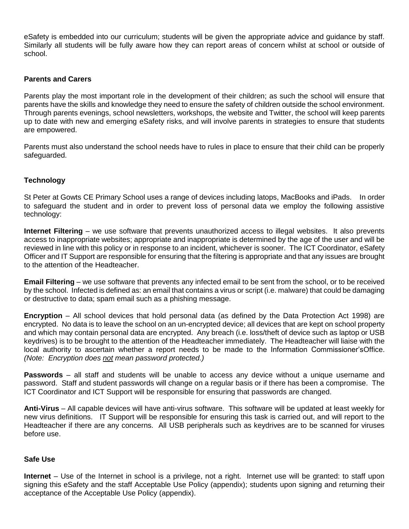eSafety is embedded into our curriculum; students will be given the appropriate advice and guidance by staff. Similarly all students will be fully aware how they can report areas of concern whilst at school or outside of school.

## **Parents and Carers**

Parents play the most important role in the development of their children; as such the school will ensure that parents have the skills and knowledge they need to ensure the safety of children outside the school environment. Through parents evenings, school newsletters, workshops, the website and Twitter, the school will keep parents up to date with new and emerging eSafety risks, and will involve parents in strategies to ensure that students are empowered.

Parents must also understand the school needs have to rules in place to ensure that their child can be properly safeguarded.

## **Technology**

St Peter at Gowts CE Primary School uses a range of devices including latops, MacBooks and iPads. In order to safeguard the student and in order to prevent loss of personal data we employ the following assistive technology:

**Internet Filtering** – we use software that prevents unauthorized access to illegal websites. It also prevents access to inappropriate websites; appropriate and inappropriate is determined by the age of the user and will be reviewed in line with this policy or in response to an incident, whichever is sooner. The ICT Coordinator, eSafety Officer and IT Support are responsible for ensuring that the filtering is appropriate and that any issues are brought to the attention of the Headteacher.

**Email Filtering** – we use software that prevents any infected email to be sent from the school, or to be received by the school. Infected is defined as: an email that contains a virus or script (i.e. malware) that could be damaging or destructive to data; spam email such as a phishing message.

**Encryption** – All school devices that hold personal data (as defined by the Data Protection Act 1998) are encrypted. No data is to leave the school on an un-encrypted device; all devices that are kept on school property and which may contain personal data are encrypted. Any breach (i.e. loss/theft of device such as laptop or USB keydrives) is to be brought to the attention of the Headteacher immediately. The Headteacher will liaise with the local authority to ascertain whether a report needs to be made to the Information Commissioner'sOffice. *(Note: Encryption does not mean password protected.)*

**Passwords** – all staff and students will be unable to access any device without a unique username and password. Staff and student passwords will change on a regular basis or if there has been a compromise. The ICT Coordinator and ICT Support will be responsible for ensuring that passwords are changed.

**Anti-Virus** – All capable devices will have anti-virus software. This software will be updated at least weekly for new virus definitions. IT Support will be responsible for ensuring this task is carried out, and will report to the Headteacher if there are any concerns. All USB peripherals such as keydrives are to be scanned for viruses before use.

## **Safe Use**

**Internet** – Use of the Internet in school is a privilege, not a right. Internet use will be granted: to staff upon signing this eSafety and the staff Acceptable Use Policy (appendix); students upon signing and returning their acceptance of the Acceptable Use Policy (appendix).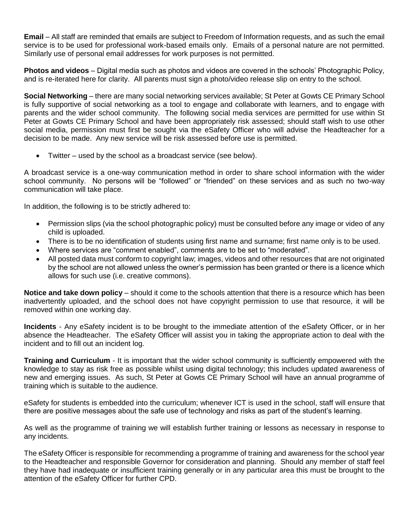**Email** – All staff are reminded that emails are subject to Freedom of Information requests, and as such the email service is to be used for professional work-based emails only. Emails of a personal nature are not permitted. Similarly use of personal email addresses for work purposes is not permitted.

**Photos and videos** – Digital media such as photos and videos are covered in the schools' Photographic Policy, and is re-iterated here for clarity. All parents must sign a photo/video release slip on entry to the school.

**Social Networking** – there are many social networking services available; St Peter at Gowts CE Primary School is fully supportive of social networking as a tool to engage and collaborate with learners, and to engage with parents and the wider school community. The following social media services are permitted for use within St Peter at Gowts CE Primary School and have been appropriately risk assessed; should staff wish to use other social media, permission must first be sought via the eSafety Officer who will advise the Headteacher for a decision to be made. Any new service will be risk assessed before use is permitted.

• Twitter – used by the school as a broadcast service (see below).

A broadcast service is a one-way communication method in order to share school information with the wider school community. No persons will be "followed" or "friended" on these services and as such no two-way communication will take place.

In addition, the following is to be strictly adhered to:

- Permission slips (via the school photographic policy) must be consulted before any image or video of any child is uploaded.
- There is to be no identification of students using first name and surname; first name only is to be used.
- Where services are "comment enabled", comments are to be set to "moderated".
- All posted data must conform to copyright law; images, videos and other resources that are not originated by the school are not allowed unless the owner's permission has been granted or there is a licence which allows for such use (i.e. creative commons).

**Notice and take down policy** – should it come to the schools attention that there is a resource which has been inadvertently uploaded, and the school does not have copyright permission to use that resource, it will be removed within one working day.

**Incidents** - Any eSafety incident is to be brought to the immediate attention of the eSafety Officer, or in her absence the Headteacher. The eSafety Officer will assist you in taking the appropriate action to deal with the incident and to fill out an incident log.

**Training and Curriculum** - It is important that the wider school community is sufficiently empowered with the knowledge to stay as risk free as possible whilst using digital technology; this includes updated awareness of new and emerging issues. As such, St Peter at Gowts CE Primary School will have an annual programme of training which is suitable to the audience.

eSafety for students is embedded into the curriculum; whenever ICT is used in the school, staff will ensure that there are positive messages about the safe use of technology and risks as part of the student's learning.

As well as the programme of training we will establish further training or lessons as necessary in response to any incidents.

The eSafety Officer is responsible for recommending a programme of training and awareness for the school year to the Headteacher and responsible Governor for consideration and planning. Should any member of staff feel they have had inadequate or insufficient training generally or in any particular area this must be brought to the attention of the eSafety Officer for further CPD.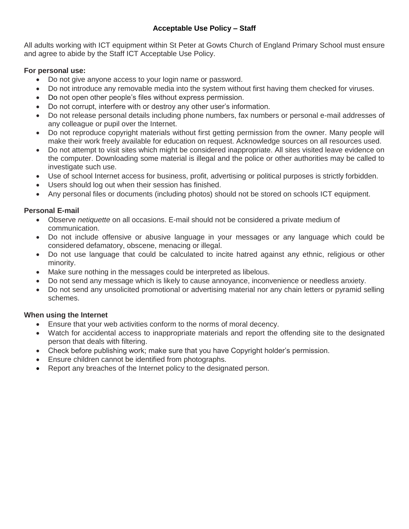## **Acceptable Use Policy – Staff**

All adults working with ICT equipment within St Peter at Gowts Church of England Primary School must ensure and agree to abide by the Staff ICT Acceptable Use Policy.

# **For personal use:**

- Do not give anyone access to your login name or password.
- Do not introduce any removable media into the system without first having them checked for viruses.
- Do not open other people's files without express permission.
- Do not corrupt, interfere with or destroy any other user's information.
- Do not release personal details including phone numbers, fax numbers or personal e-mail addresses of any colleague or pupil over the Internet.
- Do not reproduce copyright materials without first getting permission from the owner. Many people will make their work freely available for education on request. Acknowledge sources on all resources used.
- Do not attempt to visit sites which might be considered inappropriate. All sites visited leave evidence on the computer. Downloading some material is illegal and the police or other authorities may be called to investigate such use.
- Use of school Internet access for business, profit, advertising or political purposes is strictly forbidden.
- Users should log out when their session has finished.
- Any personal files or documents (including photos) should not be stored on schools ICT equipment.

# **Personal E-mail**

- Observe *netiquette* on all occasions. E-mail should not be considered a private medium of communication.
- Do not include offensive or abusive language in your messages or any language which could be considered defamatory, obscene, menacing or illegal.
- Do not use language that could be calculated to incite hatred against any ethnic, religious or other minority.
- Make sure nothing in the messages could be interpreted as libelous.
- Do not send any message which is likely to cause annoyance, inconvenience or needless anxiety.
- Do not send any unsolicited promotional or advertising material nor any chain letters or pyramid selling schemes.

# **When using the Internet**

- Ensure that your web activities conform to the norms of moral decency.
- Watch for accidental access to inappropriate materials and report the offending site to the designated person that deals with filtering.
- Check before publishing work; make sure that you have Copyright holder's permission.
- Ensure children cannot be identified from photographs.
- Report any breaches of the Internet policy to the designated person.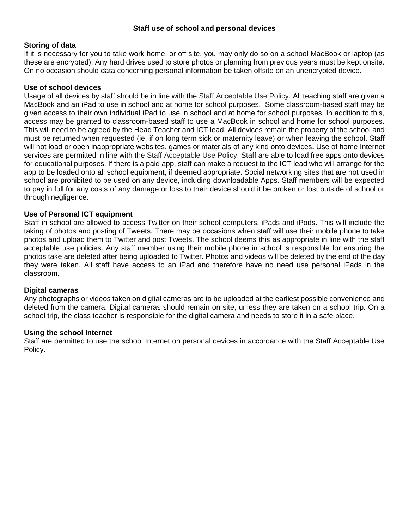### **Staff use of school and personal devices**

### **Storing of data**

If it is necessary for you to take work home, or off site, you may only do so on a school MacBook or laptop (as these are encrypted). Any hard drives used to store photos or planning from previous years must be kept onsite. On no occasion should data concerning personal information be taken offsite on an unencrypted device.

#### **Use of school devices**

Usage of all devices by staff should be in line with the Staff Acceptable Use Policy. All teaching staff are given a MacBook and an iPad to use in school and at home for school purposes. Some classroom-based staff may be given access to their own individual iPad to use in school and at home for school purposes. In addition to this, access may be granted to classroom-based staff to use a MacBook in school and home for school purposes. This will need to be agreed by the Head Teacher and ICT lead. All devices remain the property of the school and must be returned when requested (ie. if on long term sick or maternity leave) or when leaving the school**.** Staff will not load or open inappropriate websites, games or materials of any kind onto devices**.** Use of home Internet services are permitted in line with the Staff Acceptable Use Policy. Staff are able to load free apps onto devices for educational purposes. If there is a paid app, staff can make a request to the ICT lead who will arrange for the app to be loaded onto all school equipment, if deemed appropriate. Social networking sites that are not used in school are prohibited to be used on any device, including downloadable Apps. Staff members will be expected to pay in full for any costs of any damage or loss to their device should it be broken or lost outside of school or through negligence.

### **Use of Personal ICT equipment**

Staff in school are allowed to access Twitter on their school computers, iPads and iPods. This will include the taking of photos and posting of Tweets. There may be occasions when staff will use their mobile phone to take photos and upload them to Twitter and post Tweets. The school deems this as appropriate in line with the staff acceptable use policies. Any staff member using their mobile phone in school is responsible for ensuring the photos take are deleted after being uploaded to Twitter. Photos and videos will be deleted by the end of the day they were taken. All staff have access to an iPad and therefore have no need use personal iPads in the classroom.

## **Digital cameras**

Any photographs or videos taken on digital cameras are to be uploaded at the earliest possible convenience and deleted from the camera. Digital cameras should remain on site, unless they are taken on a school trip. On a school trip, the class teacher is responsible for the digital camera and needs to store it in a safe place.

#### **Using the school Internet**

Staff are permitted to use the school Internet on personal devices in accordance with the Staff Acceptable Use Policy.